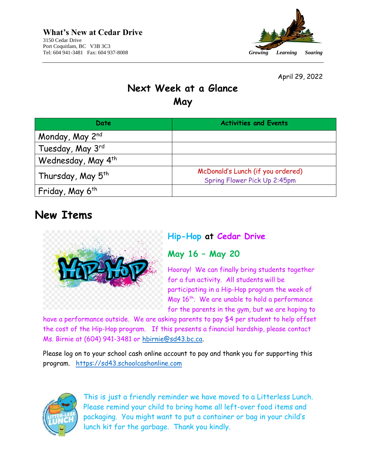

April 29, 2022

## **Next Week at a Glance May**

| Date                                     | <b>Activities and Events</b>                                      |
|------------------------------------------|-------------------------------------------------------------------|
| Monday, May 2nd                          |                                                                   |
| Tuesday, May 3rd                         |                                                                   |
| Wednesday, May 4 <sup>th</sup>           |                                                                   |
| Thursday, May 5 <sup>th</sup>            | McDonald's Lunch (if you ordered)<br>Spring Flower Pick Up 2:45pm |
| <sup>l</sup> Friday, May 6 <sup>th</sup> |                                                                   |

# **New Items**



## **Hip-Hop at Cedar Drive**

## **May 16 – May 20**

Hooray! We can finally bring students together for a fun activity. All students will be participating in a Hip-Hop program the week of May  $16^{th}$ . We are unable to hold a performance for the parents in the gym, but we are hoping to

have a performance outside. We are asking parents to pay \$4 per student to help offset the cost of the Hip-Hop program. If this presents a financial hardship, please contact Ms. Birnie at (604) 941-3481 or [hbirnie@sd43.bc.ca.](mailto:hbirnie@sd43.bc.ca)

Please log on to your school cash online account to pay and thank you for supporting this program. [https://sd43.schoolcashonline.com](https://sd43.schoolcashonline.com/)



This is just a friendly reminder we have moved to a Litterless Lunch. Please remind your child to bring home all left-over food items and packaging. You might want to put a container or bag in your child's lunch kit for the garbage. Thank you kindly.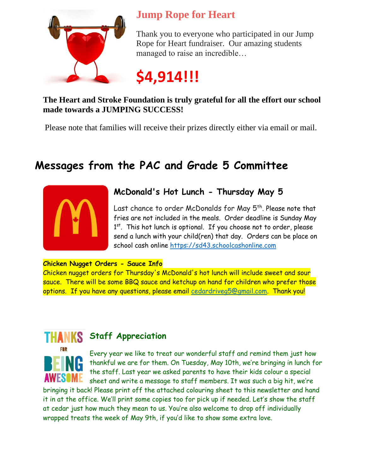

# **Jump Rope for Heart**

Thank you to everyone who participated in our Jump Rope for Heart fundraiser. Our amazing students managed to raise an incredible…

**\$4,914!!!**

### **The Heart and Stroke Foundation is truly grateful for all the effort our school made towards a JUMPING SUCCESS!**

Please note that families will receive their prizes directly either via email or mail.

# **Messages from the PAC and Grade 5 Committee**



## **McDonald's Hot Lunch - Thursday May 5**

Last chance to order McDonalds for May 5<sup>th</sup>. Please note that fries are not included in the meals. Order deadline is Sunday May 1<sup>st</sup>. This hot lunch is optional. If you choose not to order, please send a lunch with your child(ren) that day. Orders can be place on school cash online [https://sd43.schoolcashonline.com](https://sd43.schoolcashonline.com/)

#### **Chicken Nugget Orders - Sauce Info**

Chicken nugget orders for Thursday's McDonald's hot lunch will include sweet and sour sauce. There will be some BBQ sauce and ketchup on hand for children who prefer those options. If you have any questions, please email [cedardriveg5@gmail.com.](mailto:cedardriveg5@gmail.com) Thank you!



## **HANKS** Staff Appreciation

Every year we like to treat our wonderful staff and remind them just how thankful we are for them. On Tuesday, May 10th, we're bringing in lunch for the staff. Last year we asked parents to have their kids colour a special sheet and write a message to staff members. It was such a big hit, we're

bringing it back! Please print off the attached colouring sheet to this newsletter and hand it in at the office. We'll print some copies too for pick up if needed. Let's show the staff at cedar just how much they mean to us. You're also welcome to drop off individually wrapped treats the week of May 9th, if you'd like to show some extra love.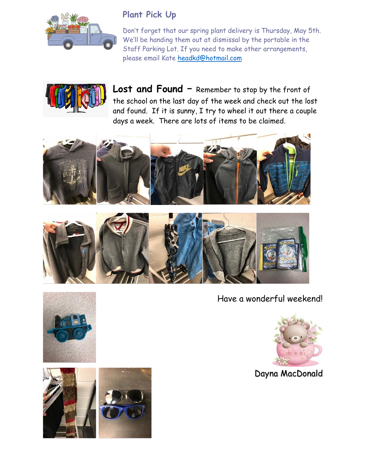

## **Plant Pick Up**

Don't forget that our spring plant delivery is Thursday, May 5th. We'll be handing them out at dismissal by the portable in the Staff Parking Lot. If you need to make other arrangements, please email Kate [headkd@hotmail.com](mailto:headkd@hotmail.com)



**Lost and Found –** Remember to stop by the front of the school on the last day of the week and check out the lost and found. If it is sunny, I try to wheel it out there a couple days a week. There are lots of items to be claimed.





Have a wonderful weekend!



Dayna MacDonald